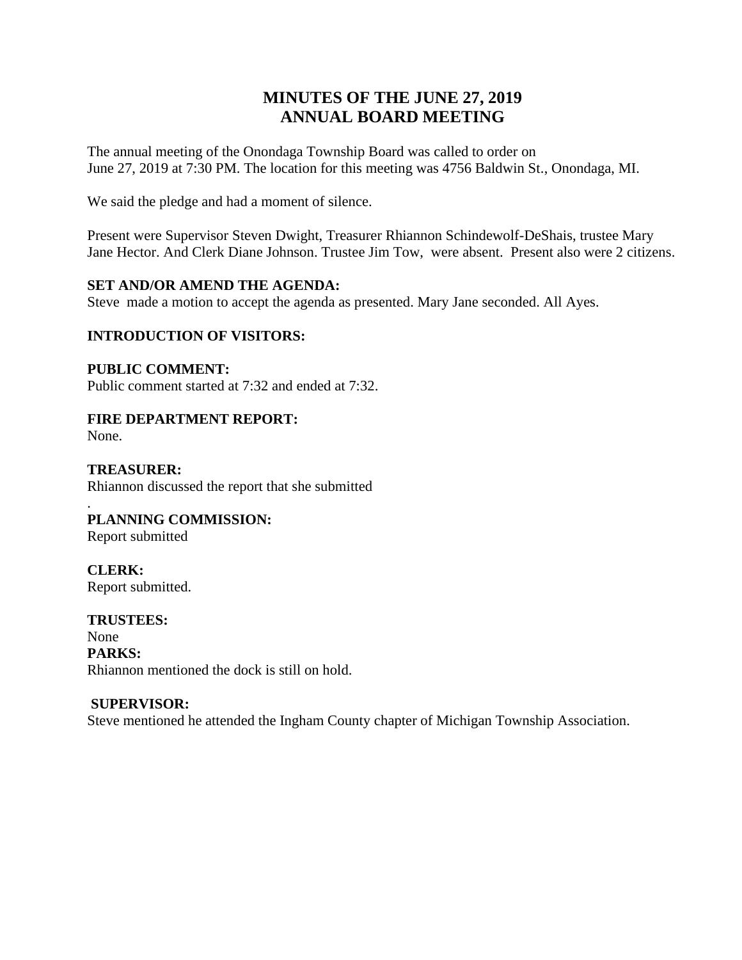# **MINUTES OF THE JUNE 27, 2019 ANNUAL BOARD MEETING**

The annual meeting of the Onondaga Township Board was called to order on June 27, 2019 at 7:30 PM. The location for this meeting was 4756 Baldwin St., Onondaga, MI.

We said the pledge and had a moment of silence.

Present were Supervisor Steven Dwight, Treasurer Rhiannon Schindewolf-DeShais, trustee Mary Jane Hector. And Clerk Diane Johnson. Trustee Jim Tow, were absent. Present also were 2 citizens.

## **SET AND/OR AMEND THE AGENDA:**

Steve made a motion to accept the agenda as presented. Mary Jane seconded. All Ayes.

# **INTRODUCTION OF VISITORS:**

**PUBLIC COMMENT:** Public comment started at 7:32 and ended at 7:32.

**FIRE DEPARTMENT REPORT:** 

None.

**TREASURER:** Rhiannon discussed the report that she submitted

## . **PLANNING COMMISSION:**

Report submitted

**CLERK:** Report submitted.

**TRUSTEES:** None **PARKS:**  Rhiannon mentioned the dock is still on hold.

# **SUPERVISOR:**

Steve mentioned he attended the Ingham County chapter of Michigan Township Association.